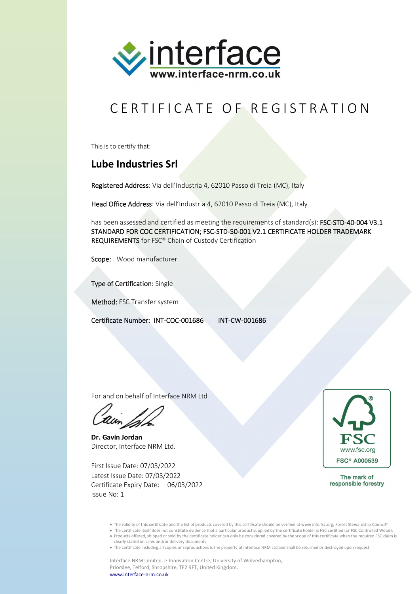

## CERTIFICATE OF REGISTRATION

This is to certify that:

## **Lube Industries Srl**

Registered Address: Via dell'Industria 4, 62010 Passo di Treia (MC), Italy

Head Office Address: Via dell'Industria 4, 62010 Passo di Treia (MC), Italy

has been assessed and certified as meeting the requirements of standard(s): FSC-STD-40-004 V3.1 STANDARD FOR COC CERTIFICATION; FSC-STD-50-001 V2.1 CERTIFICATE HOLDER TRADEMARK REQUIREMENTS for FSC® Chain of Custody Certification

Scope: Wood manufacturer

Type of Certification: Single

Method: FSC Transfer system

Certificate Number: INT-COC-001686 INT-CW-001686

For and on behalf of Interface NRM Ltd

**Dr. Gavin Jordan** Director, Interface NRM Ltd.

First Issue Date: 07/03/2022 Latest Issue Date: 07/03/2022 Certificate Expiry Date: 06/03/2022 Issue No: 1



The mark of responsible forestry

• The validity of this certificate and the list of products covered by this certificate should be verified at www info.fsc.org, Forest Stewardship Council®

- The certificate itself does not constitute evidence that a particular product supplied by the certificate holder is FSC certified (or FSC Controlled Wood). Products offered, shipped or sold by the certificate holder can only be considered covered by the scope of this certificate when the required FSC claim is
- clearly stated on sales and/or delivery documents.

The certificate including all copies or reproductions is the property of Interface NRM Ltd and shall be returned or destroyed upon request.

Interface NRM Limited, e-Innovation Centre, University of Wolverhampton, Priorslee, Telford, Shropshire, TF2 9FT, United Kingdom. www.interface-nrm.co.uk